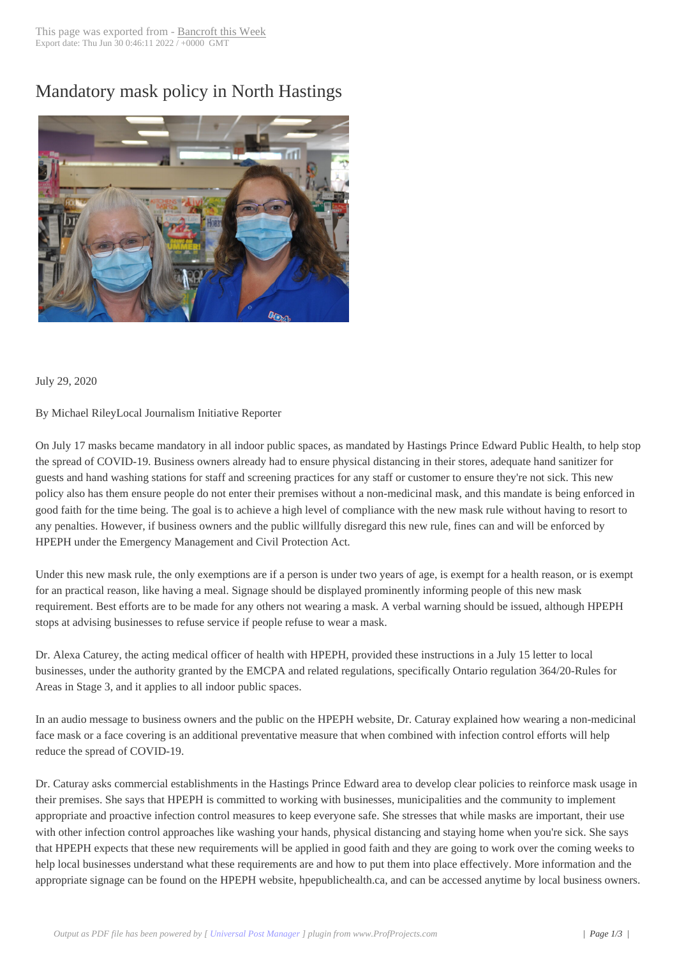## Mandatory mask p[olicy in North](http://www.bancroftthisweek.com/?p=10786) Hastings



July 29, 2020

By Michael RileyLocal Journalism Initiative Reporter

On July 17 masks became mandatory in all indoor public spaces, as mandated by Hastings Prince Edward Public Health, to help stop the spread of COVID-19. Business owners already had to ensure physical distancing in their stores, adequate hand sanitizer for guests and hand washing stations for staff and screening practices for any staff or customer to ensure they're not sick. This new policy also has them ensure people do not enter their premises without a non-medicinal mask, and this mandate is being enforced in good faith for the time being. The goal is to achieve a high level of compliance with the new mask rule without having to resort to any penalties. However, if business owners and the public willfully disregard this new rule, fines can and will be enforced by HPEPH under the Emergency Management and Civil Protection Act.

Under this new mask rule, the only exemptions are if a person is under two years of age, is exempt for a health reason, or is exempt for an practical reason, like having a meal. Signage should be displayed prominently informing people of this new mask requirement. Best efforts are to be made for any others not wearing a mask. A verbal warning should be issued, although HPEPH stops at advising businesses to refuse service if people refuse to wear a mask.

Dr. Alexa Caturey, the acting medical officer of health with HPEPH, provided these instructions in a July 15 letter to local businesses, under the authority granted by the EMCPA and related regulations, specifically Ontario regulation 364/20-Rules for Areas in Stage 3, and it applies to all indoor public spaces.

In an audio message to business owners and the public on the HPEPH website, Dr. Caturay explained how wearing a non-medicinal face mask or a face covering is an additional preventative measure that when combined with infection control efforts will help reduce the spread of COVID-19.

Dr. Caturay asks commercial establishments in the Hastings Prince Edward area to develop clear policies to reinforce mask usage in their premises. She says that HPEPH is committed to working with businesses, municipalities and the community to implement appropriate and proactive infection control measures to keep everyone safe. She stresses that while masks are important, their use with other infection control approaches like washing your hands, physical distancing and staying home when you're sick. She says that HPEPH expects that these new requirements will be applied in good faith and they are going to work over the coming weeks to help local businesses understand what these requirements are and how to put them into place effectively. More information and the appropriate signage can be found on the HPEPH website, hpepublichealth.ca, and can be accessed anytime by local business owners.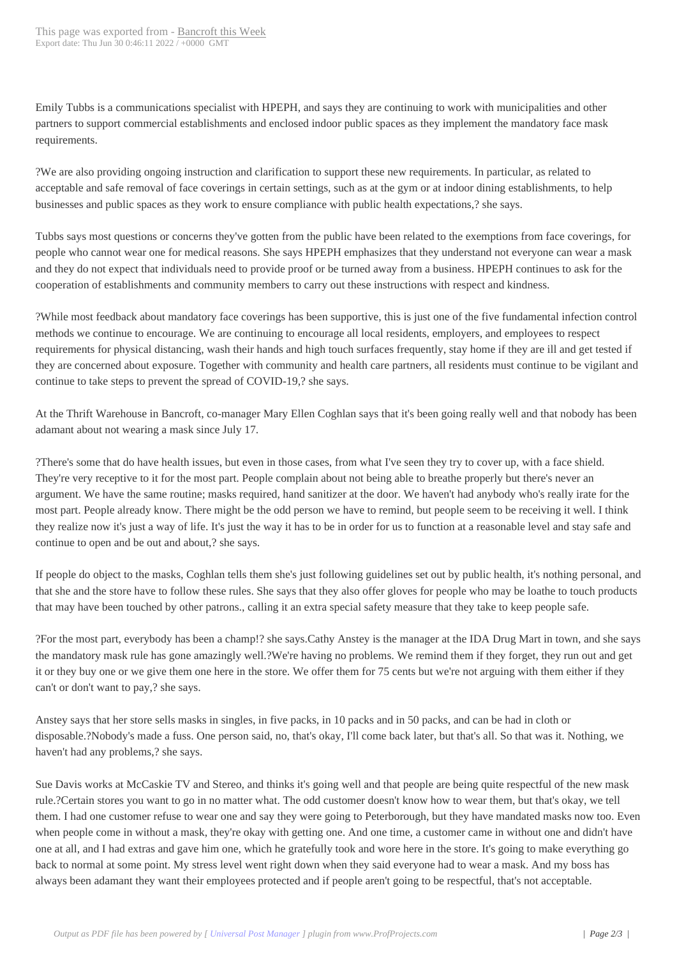Emily Tubbs is a communications specialist with HPEPH, and says they are continuing to work with municipalities and other partners to support commercial establishments and enclosed indoor public spaces as they implement the mandatory face mask requirements.

?We are also providing ongoing instruction and clarification to support these new requirements. In particular, as related to acceptable and safe removal of face coverings in certain settings, such as at the gym or at indoor dining establishments, to help businesses and public spaces as they work to ensure compliance with public health expectations,? she says.

Tubbs says most questions or concerns they've gotten from the public have been related to the exemptions from face coverings, for people who cannot wear one for medical reasons. She says HPEPH emphasizes that they understand not everyone can wear a mask and they do not expect that individuals need to provide proof or be turned away from a business. HPEPH continues to ask for the cooperation of establishments and community members to carry out these instructions with respect and kindness.

?While most feedback about mandatory face coverings has been supportive, this is just one of the five fundamental infection control methods we continue to encourage. We are continuing to encourage all local residents, employers, and employees to respect requirements for physical distancing, wash their hands and high touch surfaces frequently, stay home if they are ill and get tested if they are concerned about exposure. Together with community and health care partners, all residents must continue to be vigilant and continue to take steps to prevent the spread of COVID-19,? she says.

At the Thrift Warehouse in Bancroft, co-manager Mary Ellen Coghlan says that it's been going really well and that nobody has been adamant about not wearing a mask since July 17.

?There's some that do have health issues, but even in those cases, from what I've seen they try to cover up, with a face shield. They're very receptive to it for the most part. People complain about not being able to breathe properly but there's never an argument. We have the same routine; masks required, hand sanitizer at the door. We haven't had anybody who's really irate for the most part. People already know. There might be the odd person we have to remind, but people seem to be receiving it well. I think they realize now it's just a way of life. It's just the way it has to be in order for us to function at a reasonable level and stay safe and continue to open and be out and about,? she says.

If people do object to the masks, Coghlan tells them she's just following guidelines set out by public health, it's nothing personal, and that she and the store have to follow these rules. She says that they also offer gloves for people who may be loathe to touch products that may have been touched by other patrons., calling it an extra special safety measure that they take to keep people safe.

?For the most part, everybody has been a champ!? she says.Cathy Anstey is the manager at the IDA Drug Mart in town, and she says the mandatory mask rule has gone amazingly well.?We're having no problems. We remind them if they forget, they run out and get it or they buy one or we give them one here in the store. We offer them for 75 cents but we're not arguing with them either if they can't or don't want to pay,? she says.

Anstey says that her store sells masks in singles, in five packs, in 10 packs and in 50 packs, and can be had in cloth or disposable.?Nobody's made a fuss. One person said, no, that's okay, I'll come back later, but that's all. So that was it. Nothing, we haven't had any problems,? she says.

Sue Davis works at McCaskie TV and Stereo, and thinks it's going well and that people are being quite respectful of the new mask rule.?Certain stores you want to go in no matter what. The odd customer doesn't know how to wear them, but that's okay, we tell them. I had one customer refuse to wear one and say they were going to Peterborough, but they have mandated masks now too. Even when people come in without a mask, they're okay with getting one. And one time, a customer came in without one and didn't have one at all, and I had extras and gave him one, which he gratefully took and wore here in the store. It's going to make everything go back to normal at some point. My stress level went right down when they said everyone had to wear a mask. And my boss has always been adamant they want their employees protected and if people aren't going to be respectful, that's not acceptable.